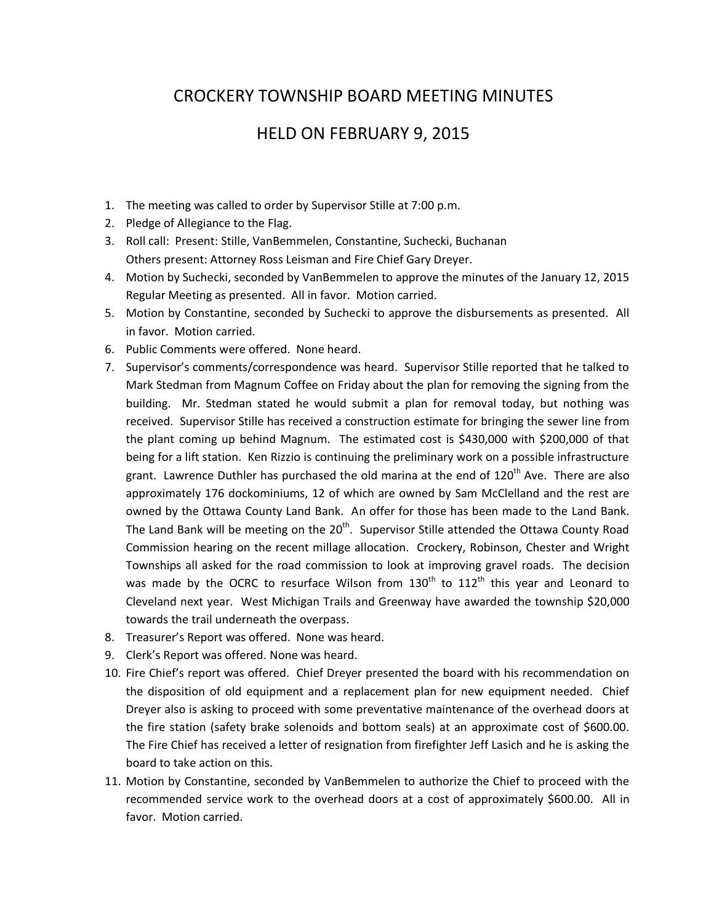## CROCKERY TOWNSHIP BOARD MEETING MINUTES

## HELD ON FEBRUARY 9, 2015

- 1. The meeting was called to order by Supervisor Stille at 7:00 p.m.
- 2. Pledge of Allegiance to the Flag.
- 3. Roll call: Present: Stille, VanBemmelen, Constantine, Suchecki, Buchanan Others present: Attorney Ross Leisman and Fire Chief Gary Dreyer.
- 4. Motion by Suchecki, seconded by VanBemmelen to approve the minutes of the January 12, 2015 Regular Meeting as presented. All in favor. Motion carried.
- 5. Motion by Constantine, seconded by Suchecki to approve the disbursements as presented. All in favor. Motion carried.
- 6. Public Comments were offered. None heard.
- 7. Supervisor's comments/correspondence was heard. Supervisor Stille reported that he talked to Mark Stedman from Magnum Coffee on Friday about the plan for removing the signing from the building. Mr. Stedman stated he would submit a plan for removal today, but nothing was received. Supervisor Stille has received a construction estimate for bringing the sewer line from the plant coming up behind Magnum. The estimated cost is \$430,000 with \$200,000 of that being for a lift station. Ken Rizzio is continuing the preliminary work on a possible infrastructure grant. Lawrence Duthler has purchased the old marina at the end of 120<sup>th</sup> Ave. There are also approximately 176 dockominiums, 12 of which are owned by Sam McClelland and the rest are owned by the Ottawa County Land Bank. An offer for those has been made to the Land Bank. The Land Bank will be meeting on the  $20<sup>th</sup>$ . Supervisor Stille attended the Ottawa County Road Commission hearing on the recent millage allocation. Crockery, Robinson, Chester and Wright Townships all asked for the road commission to look at improving gravel roads. The decision was made by the OCRC to resurface Wilson from  $130<sup>th</sup>$  to  $112<sup>th</sup>$  this year and Leonard to Cleveland next year. West Michigan Trails and Greenway have awarded the township \$20,000 towards the trail underneath the overpass.
- 8. Treasurer's Report was offered. None was heard.
- 9. Clerk's Report was offered. None was heard.
- 10. Fire Chief's report was offered. Chief Dreyer presented the board with his recommendation on the disposition of old equipment and a replacement plan for new equipment needed. Chief Dreyer also is asking to proceed with some preventative maintenance of the overhead doors at the fire station (safety brake solenoids and bottom seals) at an approximate cost of \$600.00. The Fire Chief has received a letter of resignation from firefighter Jeff Lasich and he is asking the board to take action on this.
- 11. Motion by Constantine, seconded by VanBemmelen to authorize the Chief to proceed with the recommended service work to the overhead doors at a cost of approximately \$600.00. All in favor. Motion carried.